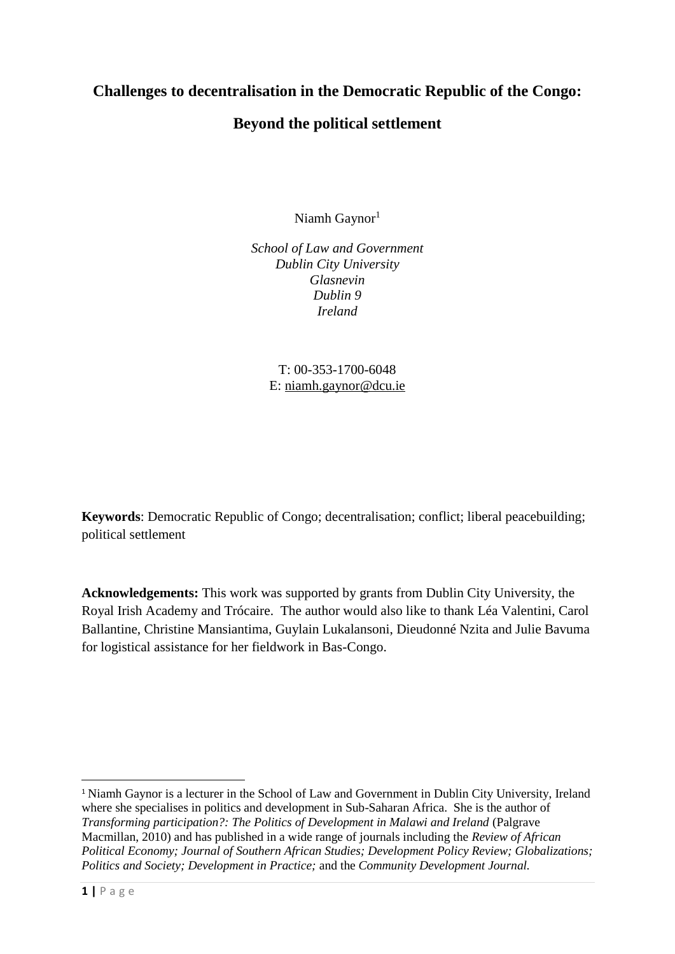## **Challenges to decentralisation in the Democratic Republic of the Congo:**

## **Beyond the political settlement**

Niamh Gaynor<sup>1</sup>

*School of Law and Government Dublin City University Glasnevin Dublin 9 Ireland*

> T: 00-353-1700-6048 E: [niamh.gaynor@dcu.ie](mailto:niamh.gaynor@dcu.ie)

**Keywords**: Democratic Republic of Congo; decentralisation; conflict; liberal peacebuilding; political settlement

**Acknowledgements:** This work was supported by grants from Dublin City University, the Royal Irish Academy and Trócaire. The author would also like to thank Léa Valentini, Carol Ballantine, Christine Mansiantima, Guylain Lukalansoni, Dieudonné Nzita and Julie Bavuma for logistical assistance for her fieldwork in Bas-Congo.

<sup>&</sup>lt;sup>1</sup> Niamh Gaynor is a lecturer in the School of Law and Government in Dublin City University, Ireland where she specialises in politics and development in Sub-Saharan Africa. She is the author of *Transforming participation?: The Politics of Development in Malawi and Ireland* (Palgrave Macmillan, 2010) and has published in a wide range of journals including the *Review of African Political Economy; Journal of Southern African Studies; Development Policy Review; Globalizations; Politics and Society; Development in Practice;* and the *Community Development Journal.*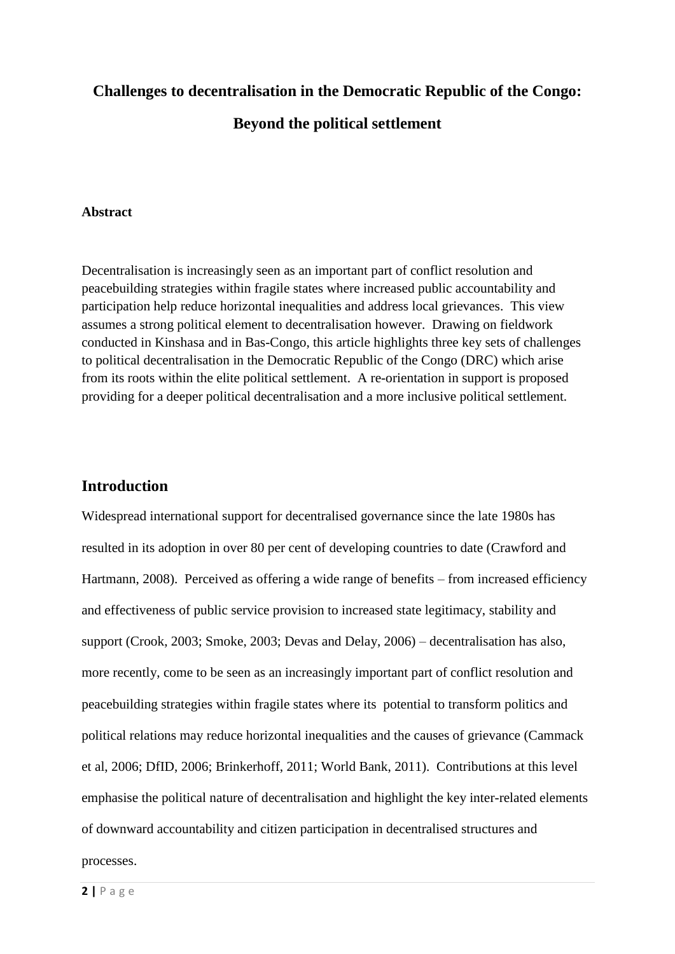# **Challenges to decentralisation in the Democratic Republic of the Congo: Beyond the political settlement**

#### **Abstract**

Decentralisation is increasingly seen as an important part of conflict resolution and peacebuilding strategies within fragile states where increased public accountability and participation help reduce horizontal inequalities and address local grievances. This view assumes a strong political element to decentralisation however. Drawing on fieldwork conducted in Kinshasa and in Bas-Congo, this article highlights three key sets of challenges to political decentralisation in the Democratic Republic of the Congo (DRC) which arise from its roots within the elite political settlement. A re-orientation in support is proposed providing for a deeper political decentralisation and a more inclusive political settlement.

#### **Introduction**

Widespread international support for decentralised governance since the late 1980s has resulted in its adoption in over 80 per cent of developing countries to date (Crawford and Hartmann, 2008). Perceived as offering a wide range of benefits – from increased efficiency and effectiveness of public service provision to increased state legitimacy, stability and support (Crook, 2003; Smoke, 2003; Devas and Delay, 2006) – decentralisation has also, more recently, come to be seen as an increasingly important part of conflict resolution and peacebuilding strategies within fragile states where its potential to transform politics and political relations may reduce horizontal inequalities and the causes of grievance (Cammack et al, 2006; DfID, 2006; Brinkerhoff, 2011; World Bank, 2011). Contributions at this level emphasise the political nature of decentralisation and highlight the key inter-related elements of downward accountability and citizen participation in decentralised structures and processes.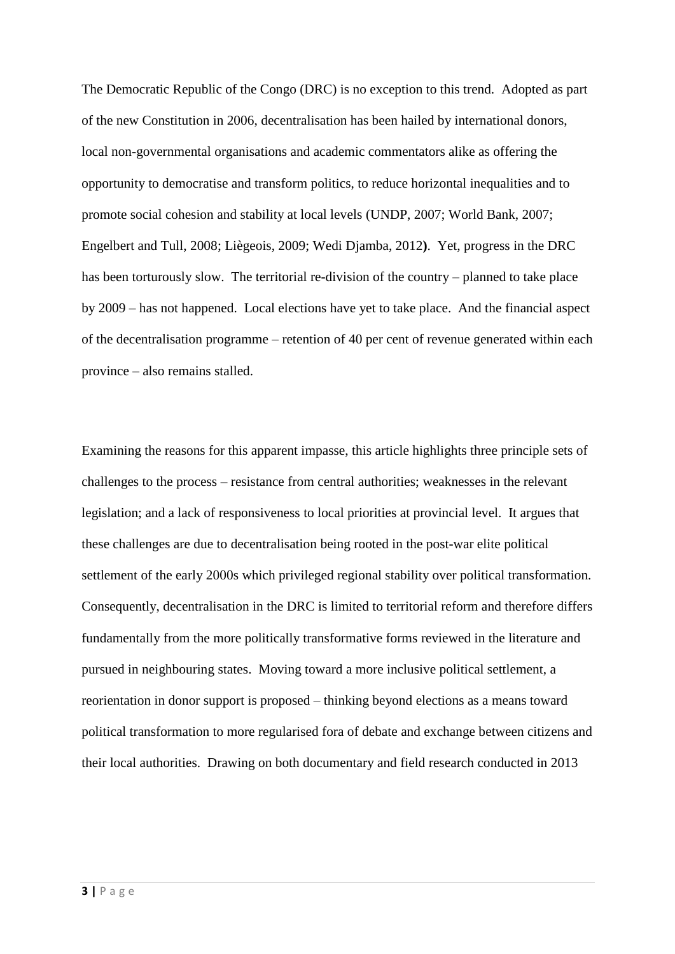The Democratic Republic of the Congo (DRC) is no exception to this trend. Adopted as part of the new Constitution in 2006, decentralisation has been hailed by international donors, local non-governmental organisations and academic commentators alike as offering the opportunity to democratise and transform politics, to reduce horizontal inequalities and to promote social cohesion and stability at local levels (UNDP, 2007; World Bank, 2007; Engelbert and Tull, 2008; Liègeois, 2009; Wedi Djamba, 2012**)**. Yet, progress in the DRC has been torturously slow. The territorial re-division of the country – planned to take place by 2009 – has not happened. Local elections have yet to take place. And the financial aspect of the decentralisation programme – retention of 40 per cent of revenue generated within each province – also remains stalled.

Examining the reasons for this apparent impasse, this article highlights three principle sets of challenges to the process – resistance from central authorities; weaknesses in the relevant legislation; and a lack of responsiveness to local priorities at provincial level. It argues that these challenges are due to decentralisation being rooted in the post-war elite political settlement of the early 2000s which privileged regional stability over political transformation. Consequently, decentralisation in the DRC is limited to territorial reform and therefore differs fundamentally from the more politically transformative forms reviewed in the literature and pursued in neighbouring states. Moving toward a more inclusive political settlement, a reorientation in donor support is proposed – thinking beyond elections as a means toward political transformation to more regularised fora of debate and exchange between citizens and their local authorities. Drawing on both documentary and field research conducted in 2013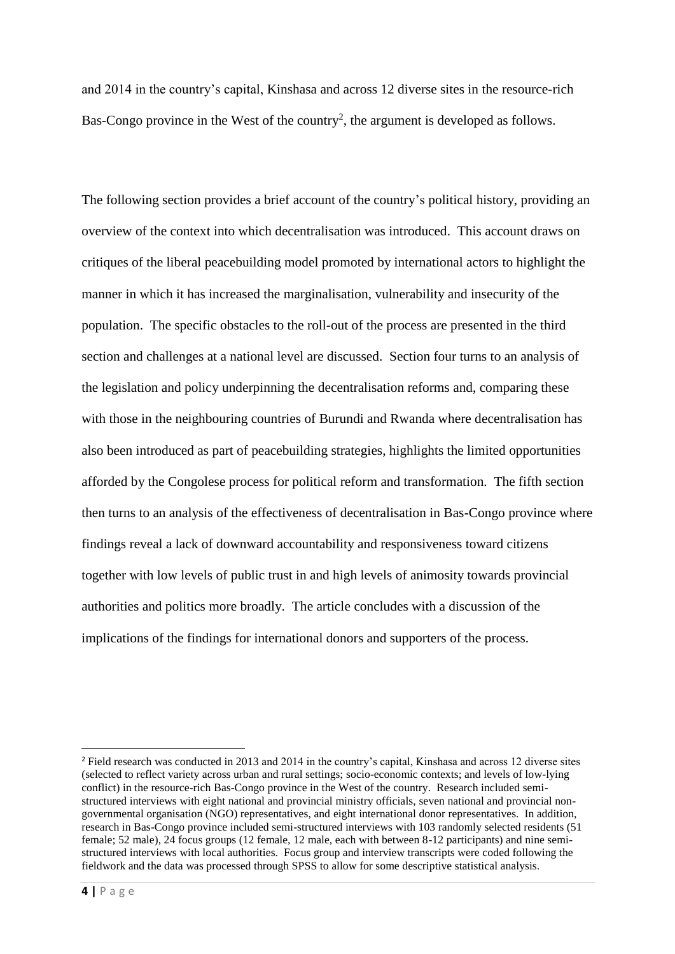and 2014 in the country's capital, Kinshasa and across 12 diverse sites in the resource-rich Bas-Congo province in the West of the country<sup>2</sup>, the argument is developed as follows.

The following section provides a brief account of the country's political history, providing an overview of the context into which decentralisation was introduced. This account draws on critiques of the liberal peacebuilding model promoted by international actors to highlight the manner in which it has increased the marginalisation, vulnerability and insecurity of the population. The specific obstacles to the roll-out of the process are presented in the third section and challenges at a national level are discussed. Section four turns to an analysis of the legislation and policy underpinning the decentralisation reforms and, comparing these with those in the neighbouring countries of Burundi and Rwanda where decentralisation has also been introduced as part of peacebuilding strategies, highlights the limited opportunities afforded by the Congolese process for political reform and transformation. The fifth section then turns to an analysis of the effectiveness of decentralisation in Bas-Congo province where findings reveal a lack of downward accountability and responsiveness toward citizens together with low levels of public trust in and high levels of animosity towards provincial authorities and politics more broadly. The article concludes with a discussion of the implications of the findings for international donors and supporters of the process.

 $\overline{\phantom{a}}$ 

<sup>&</sup>lt;sup>2</sup> Field research was conducted in 2013 and 2014 in the country's capital, Kinshasa and across 12 diverse sites (selected to reflect variety across urban and rural settings; socio-economic contexts; and levels of low-lying conflict) in the resource-rich Bas-Congo province in the West of the country. Research included semistructured interviews with eight national and provincial ministry officials, seven national and provincial nongovernmental organisation (NGO) representatives, and eight international donor representatives. In addition, research in Bas-Congo province included semi-structured interviews with 103 randomly selected residents (51 female; 52 male), 24 focus groups (12 female, 12 male, each with between 8-12 participants) and nine semistructured interviews with local authorities. Focus group and interview transcripts were coded following the fieldwork and the data was processed through SPSS to allow for some descriptive statistical analysis.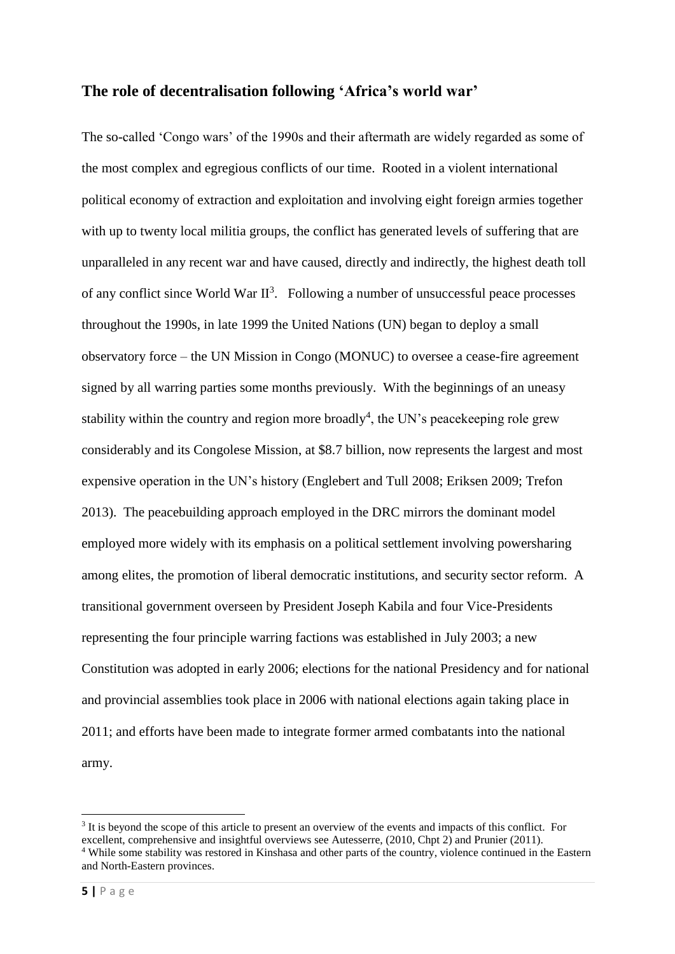#### **The role of decentralisation following 'Africa's world war'**

The so-called 'Congo wars' of the 1990s and their aftermath are widely regarded as some of the most complex and egregious conflicts of our time. Rooted in a violent international political economy of extraction and exploitation and involving eight foreign armies together with up to twenty local militia groups, the conflict has generated levels of suffering that are unparalleled in any recent war and have caused, directly and indirectly, the highest death toll of any conflict since World War  $II^3$ . Following a number of unsuccessful peace processes throughout the 1990s, in late 1999 the United Nations (UN) began to deploy a small observatory force – the UN Mission in Congo (MONUC) to oversee a cease-fire agreement signed by all warring parties some months previously. With the beginnings of an uneasy stability within the country and region more broadly<sup>4</sup>, the UN's peace keeping role grew considerably and its Congolese Mission, at \$8.7 billion, now represents the largest and most expensive operation in the UN's history (Englebert and Tull 2008; Eriksen 2009; Trefon 2013).The peacebuilding approach employed in the DRC mirrors the dominant model employed more widely with its emphasis on a political settlement involving powersharing among elites, the promotion of liberal democratic institutions, and security sector reform. A transitional government overseen by President Joseph Kabila and four Vice-Presidents representing the four principle warring factions was established in July 2003; a new Constitution was adopted in early 2006; elections for the national Presidency and for national and provincial assemblies took place in 2006 with national elections again taking place in 2011; and efforts have been made to integrate former armed combatants into the national army.

<sup>&</sup>lt;sup>3</sup> It is beyond the scope of this article to present an overview of the events and impacts of this conflict. For excellent, comprehensive and insightful overviews see Autesserre, (2010, Chpt 2) and Prunier (2011). <sup>4</sup> While some stability was restored in Kinshasa and other parts of the country, violence continued in the Eastern and North-Eastern provinces.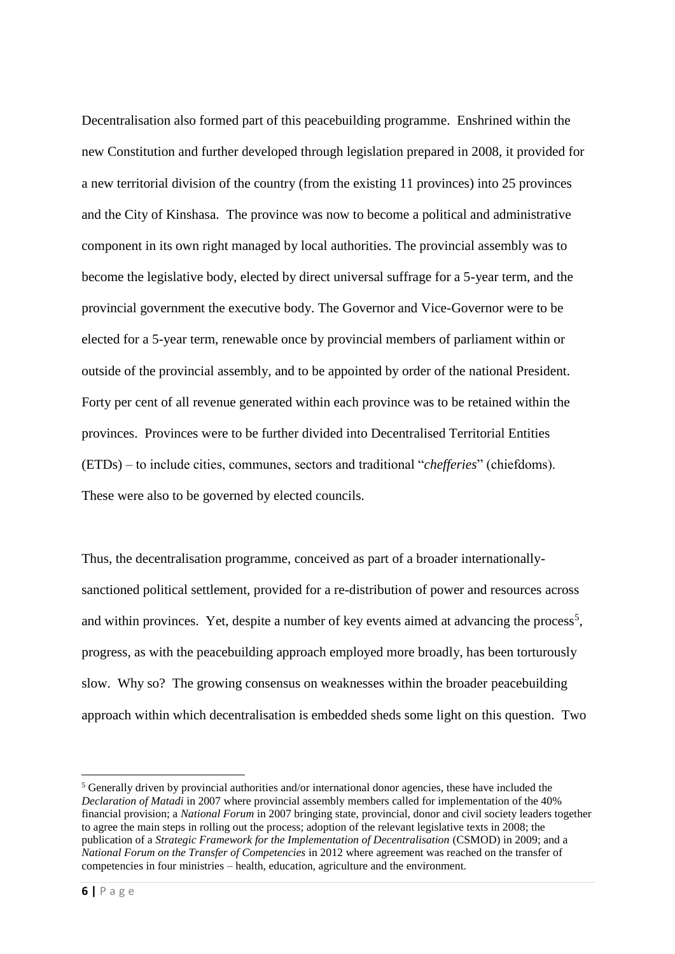Decentralisation also formed part of this peacebuilding programme. Enshrined within the new Constitution and further developed through legislation prepared in 2008, it provided for a new territorial division of the country (from the existing 11 provinces) into 25 provinces and the City of Kinshasa. The province was now to become a political and administrative component in its own right managed by local authorities. The provincial assembly was to become the legislative body, elected by direct universal suffrage for a 5-year term, and the provincial government the executive body. The Governor and Vice-Governor were to be elected for a 5-year term, renewable once by provincial members of parliament within or outside of the provincial assembly, and to be appointed by order of the national President. Forty per cent of all revenue generated within each province was to be retained within the provinces. Provinces were to be further divided into Decentralised Territorial Entities (ETDs) – to include cities, communes, sectors and traditional "*chefferies*" (chiefdoms). These were also to be governed by elected councils.

Thus, the decentralisation programme, conceived as part of a broader internationallysanctioned political settlement, provided for a re-distribution of power and resources across and within provinces. Yet, despite a number of key events aimed at advancing the process<sup>5</sup>, progress, as with the peacebuilding approach employed more broadly, has been torturously slow. Why so? The growing consensus on weaknesses within the broader peacebuilding approach within which decentralisation is embedded sheds some light on this question. Two

**<sup>.</sup>** <sup>5</sup> Generally driven by provincial authorities and/or international donor agencies, these have included the *Declaration of Matadi* in 2007 where provincial assembly members called for implementation of the 40% financial provision; a *National Forum* in 2007 bringing state, provincial, donor and civil society leaders together to agree the main steps in rolling out the process; adoption of the relevant legislative texts in 2008; the publication of a *Strategic Framework for the Implementation of Decentralisation* (CSMOD) in 2009; and a *National Forum on the Transfer of Competencies* in 2012 where agreement was reached on the transfer of competencies in four ministries – health, education, agriculture and the environment.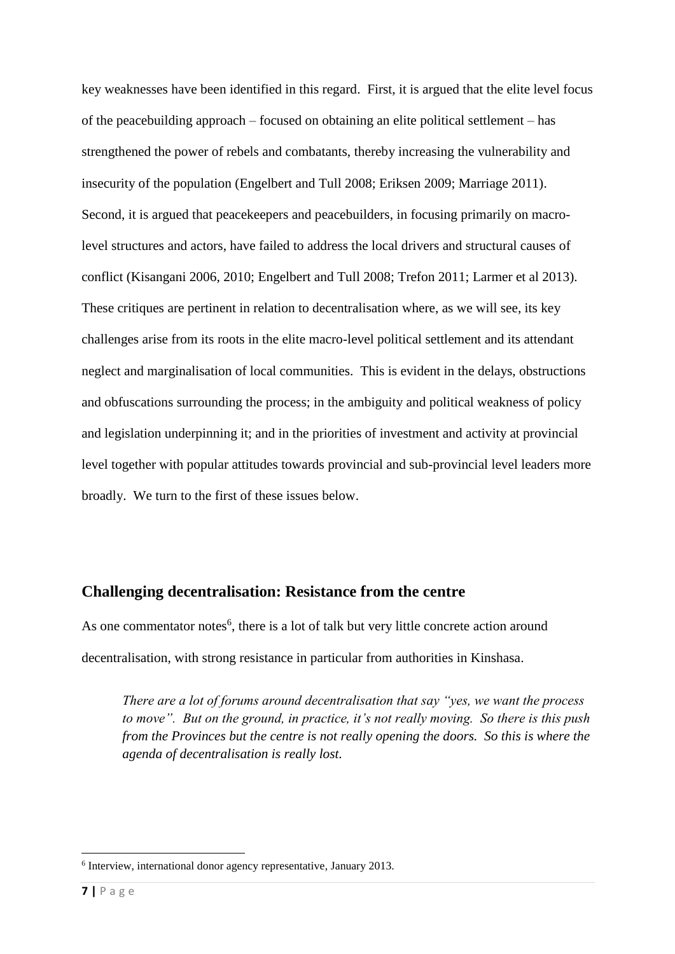key weaknesses have been identified in this regard. First, it is argued that the elite level focus of the peacebuilding approach – focused on obtaining an elite political settlement – has strengthened the power of rebels and combatants, thereby increasing the vulnerability and insecurity of the population (Engelbert and Tull 2008; Eriksen 2009; Marriage 2011). Second, it is argued that peacekeepers and peacebuilders, in focusing primarily on macrolevel structures and actors, have failed to address the local drivers and structural causes of conflict (Kisangani 2006, 2010; Engelbert and Tull 2008; Trefon 2011; Larmer et al 2013). These critiques are pertinent in relation to decentralisation where, as we will see, its key challenges arise from its roots in the elite macro-level political settlement and its attendant neglect and marginalisation of local communities. This is evident in the delays, obstructions and obfuscations surrounding the process; in the ambiguity and political weakness of policy and legislation underpinning it; and in the priorities of investment and activity at provincial level together with popular attitudes towards provincial and sub-provincial level leaders more broadly. We turn to the first of these issues below.

## **Challenging decentralisation: Resistance from the centre**

As one commentator notes<sup>6</sup>, there is a lot of talk but very little concrete action around decentralisation, with strong resistance in particular from authorities in Kinshasa.

*There are a lot of forums around decentralisation that say "yes, we want the process to move". But on the ground, in practice, it's not really moving. So there is this push from the Provinces but the centre is not really opening the doors. So this is where the agenda of decentralisation is really lost.*

<sup>6</sup> Interview, international donor agency representative, January 2013.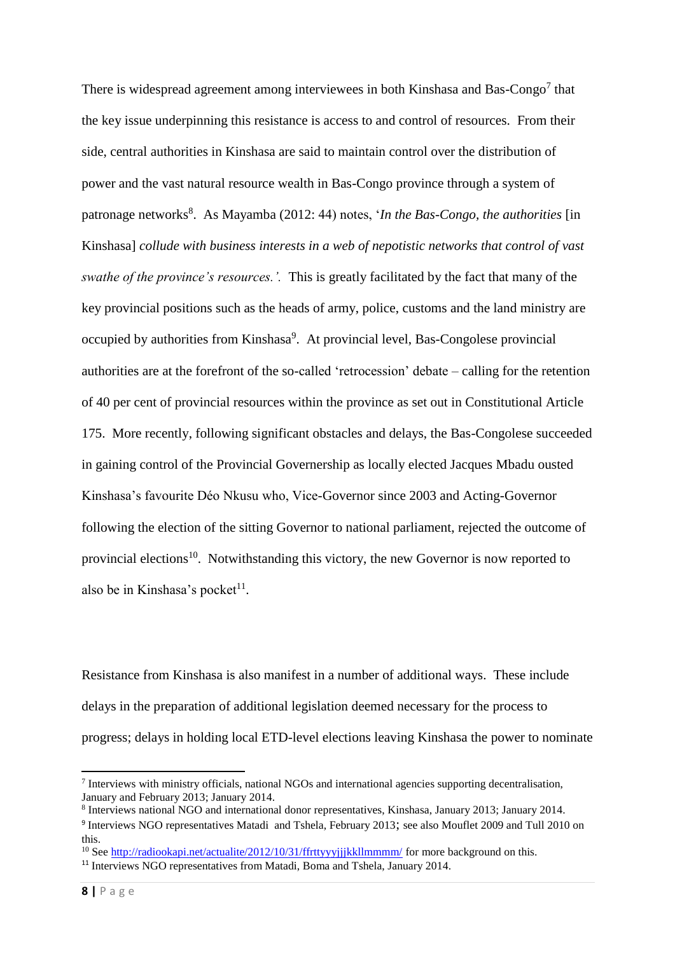There is widespread agreement among interviewees in both Kinshasa and Bas-Congo<sup>7</sup> that the key issue underpinning this resistance is access to and control of resources. From their side, central authorities in Kinshasa are said to maintain control over the distribution of power and the vast natural resource wealth in Bas-Congo province through a system of patronage networks<sup>8</sup>. As Mayamba (2012: 44) notes, '*In the Bas-Congo, the authorities* [in Kinshasa] *collude with business interests in a web of nepotistic networks that control of vast swathe of the province's resources.'.* This is greatly facilitated by the fact that many of the key provincial positions such as the heads of army, police, customs and the land ministry are occupied by authorities from Kinshasa<sup>9</sup>. At provincial level, Bas-Congolese provincial authorities are at the forefront of the so-called 'retrocession' debate – calling for the retention of 40 per cent of provincial resources within the province as set out in Constitutional Article 175. More recently, following significant obstacles and delays, the Bas-Congolese succeeded in gaining control of the Provincial Governership as locally elected Jacques Mbadu ousted Kinshasa's favourite Déo Nkusu who, Vice-Governor since 2003 and Acting-Governor following the election of the sitting Governor to national parliament, rejected the outcome of provincial elections<sup>10</sup>. Notwithstanding this victory, the new Governor is now reported to also be in Kinshasa's pocket $11$ .

Resistance from Kinshasa is also manifest in a number of additional ways. These include delays in the preparation of additional legislation deemed necessary for the process to progress; delays in holding local ETD-level elections leaving Kinshasa the power to nominate

1

<sup>&</sup>lt;sup>7</sup> Interviews with ministry officials, national NGOs and international agencies supporting decentralisation, January and February 2013; January 2014.

<sup>8</sup> Interviews national NGO and international donor representatives, Kinshasa, January 2013; January 2014.

<sup>&</sup>lt;sup>9</sup> Interviews NGO representatives Matadi and Tshela, February 2013; see also Mouflet 2009 and Tull 2010 on this.

<sup>&</sup>lt;sup>10</sup> See http://radiookapi.net/actualite/2012/10/31/ffrttyyyijjkkllmmmm/ for more background on this.

<sup>&</sup>lt;sup>11</sup> Interviews NGO representatives from Matadi, Boma and Tshela, January 2014.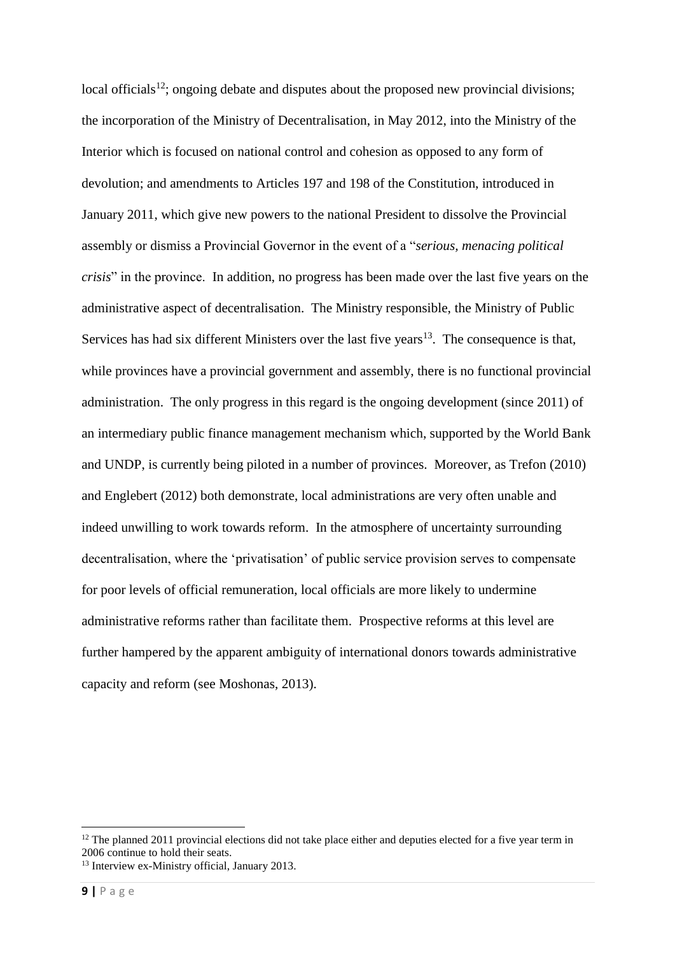local officials<sup>12</sup>; ongoing debate and disputes about the proposed new provincial divisions; the incorporation of the Ministry of Decentralisation, in May 2012, into the Ministry of the Interior which is focused on national control and cohesion as opposed to any form of devolution; and amendments to Articles 197 and 198 of the Constitution, introduced in January 2011, which give new powers to the national President to dissolve the Provincial assembly or dismiss a Provincial Governor in the event of a "*serious, menacing political crisis*" in the province. In addition, no progress has been made over the last five years on the administrative aspect of decentralisation. The Ministry responsible, the Ministry of Public Services has had six different Ministers over the last five years<sup>13</sup>. The consequence is that, while provinces have a provincial government and assembly, there is no functional provincial administration. The only progress in this regard is the ongoing development (since 2011) of an intermediary public finance management mechanism which, supported by the World Bank and UNDP, is currently being piloted in a number of provinces. Moreover, as Trefon (2010) and Englebert (2012) both demonstrate, local administrations are very often unable and indeed unwilling to work towards reform. In the atmosphere of uncertainty surrounding decentralisation, where the 'privatisation' of public service provision serves to compensate for poor levels of official remuneration, local officials are more likely to undermine administrative reforms rather than facilitate them. Prospective reforms at this level are further hampered by the apparent ambiguity of international donors towards administrative capacity and reform (see Moshonas, 2013).

1

 $12$  The planned 2011 provincial elections did not take place either and deputies elected for a five year term in 2006 continue to hold their seats.

<sup>13</sup> Interview ex-Ministry official, January 2013.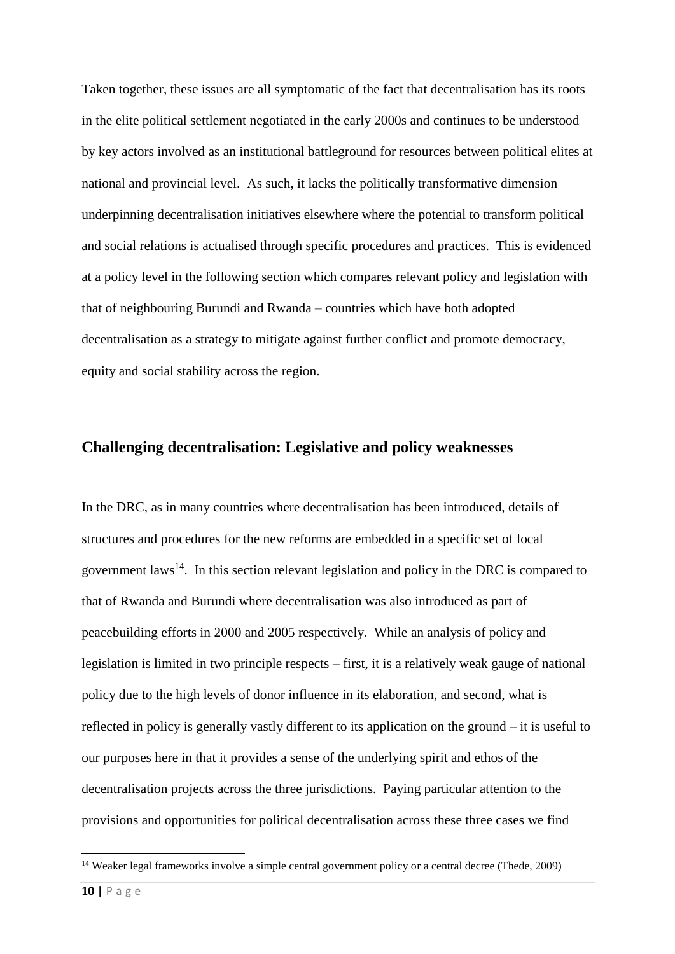Taken together, these issues are all symptomatic of the fact that decentralisation has its roots in the elite political settlement negotiated in the early 2000s and continues to be understood by key actors involved as an institutional battleground for resources between political elites at national and provincial level. As such, it lacks the politically transformative dimension underpinning decentralisation initiatives elsewhere where the potential to transform political and social relations is actualised through specific procedures and practices. This is evidenced at a policy level in the following section which compares relevant policy and legislation with that of neighbouring Burundi and Rwanda – countries which have both adopted decentralisation as a strategy to mitigate against further conflict and promote democracy, equity and social stability across the region.

### **Challenging decentralisation: Legislative and policy weaknesses**

In the DRC, as in many countries where decentralisation has been introduced, details of structures and procedures for the new reforms are embedded in a specific set of local government laws<sup>14</sup>. In this section relevant legislation and policy in the DRC is compared to that of Rwanda and Burundi where decentralisation was also introduced as part of peacebuilding efforts in 2000 and 2005 respectively. While an analysis of policy and legislation is limited in two principle respects – first, it is a relatively weak gauge of national policy due to the high levels of donor influence in its elaboration, and second, what is reflected in policy is generally vastly different to its application on the ground – it is useful to our purposes here in that it provides a sense of the underlying spirit and ethos of the decentralisation projects across the three jurisdictions. Paying particular attention to the provisions and opportunities for political decentralisation across these three cases we find

<sup>&</sup>lt;sup>14</sup> Weaker legal frameworks involve a simple central government policy or a central decree (Thede, 2009)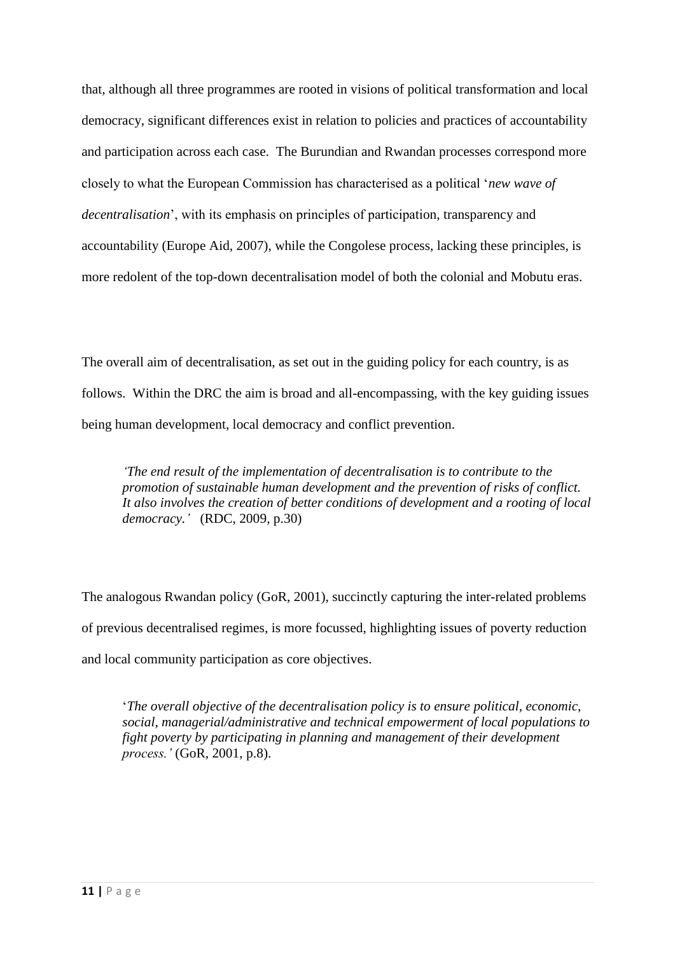that, although all three programmes are rooted in visions of political transformation and local democracy, significant differences exist in relation to policies and practices of accountability and participation across each case. The Burundian and Rwandan processes correspond more closely to what the European Commission has characterised as a political '*new wave of decentralisation*', with its emphasis on principles of participation, transparency and accountability (Europe Aid, 2007), while the Congolese process, lacking these principles, is more redolent of the top-down decentralisation model of both the colonial and Mobutu eras.

The overall aim of decentralisation, as set out in the guiding policy for each country, is as follows. Within the DRC the aim is broad and all-encompassing, with the key guiding issues being human development, local democracy and conflict prevention.

*'The end result of the implementation of decentralisation is to contribute to the promotion of sustainable human development and the prevention of risks of conflict. It also involves the creation of better conditions of development and a rooting of local democracy.'* (RDC, 2009, p.30)

The analogous Rwandan policy (GoR, 2001), succinctly capturing the inter-related problems of previous decentralised regimes, is more focussed, highlighting issues of poverty reduction and local community participation as core objectives.

'*The overall objective of the decentralisation policy is to ensure political, economic, social, managerial/administrative and technical empowerment of local populations to fight poverty by participating in planning and management of their development process.'* (GoR, 2001, p.8).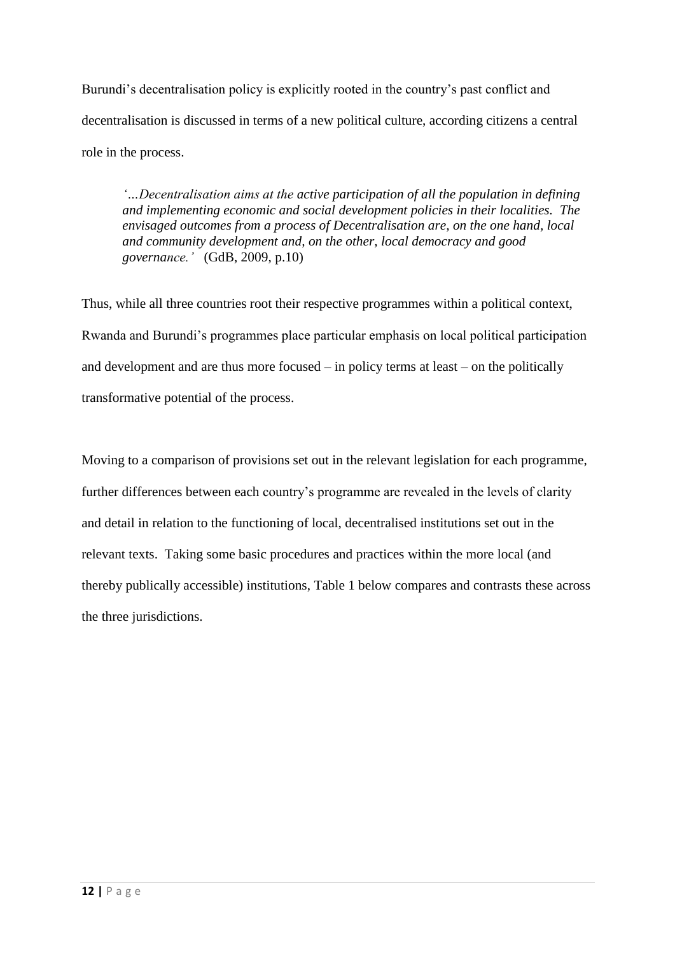Burundi's decentralisation policy is explicitly rooted in the country's past conflict and decentralisation is discussed in terms of a new political culture, according citizens a central role in the process.

*'…Decentralisation aims at the active participation of all the population in defining and implementing economic and social development policies in their localities. The envisaged outcomes from a process of Decentralisation are, on the one hand, local and community development and, on the other, local democracy and good governance.'* (GdB, 2009, p.10)

Thus, while all three countries root their respective programmes within a political context, Rwanda and Burundi's programmes place particular emphasis on local political participation and development and are thus more focused – in policy terms at least – on the politically transformative potential of the process.

Moving to a comparison of provisions set out in the relevant legislation for each programme, further differences between each country's programme are revealed in the levels of clarity and detail in relation to the functioning of local, decentralised institutions set out in the relevant texts. Taking some basic procedures and practices within the more local (and thereby publically accessible) institutions, Table 1 below compares and contrasts these across the three jurisdictions.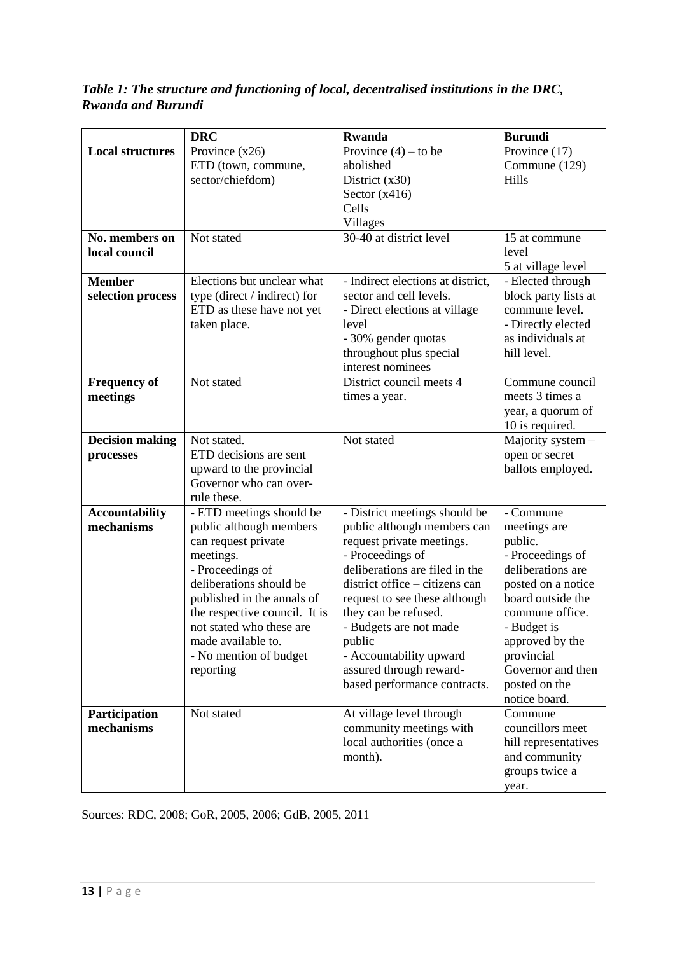*Table 1: The structure and functioning of local, decentralised institutions in the DRC, Rwanda and Burundi*

|                                     | <b>DRC</b>                                                                                                                                                                                                                                                                                     | <b>Rwanda</b>                                                                                                                                                                                                                                                                                                                                                        | <b>Burundi</b>                                                                                                                                                                                                                                     |
|-------------------------------------|------------------------------------------------------------------------------------------------------------------------------------------------------------------------------------------------------------------------------------------------------------------------------------------------|----------------------------------------------------------------------------------------------------------------------------------------------------------------------------------------------------------------------------------------------------------------------------------------------------------------------------------------------------------------------|----------------------------------------------------------------------------------------------------------------------------------------------------------------------------------------------------------------------------------------------------|
| <b>Local structures</b>             | Province $(x26)$<br>ETD (town, commune,<br>sector/chiefdom)                                                                                                                                                                                                                                    | Province $(4)$ – to be<br>abolished<br>District $(x30)$<br>Sector $(x416)$<br>Cells                                                                                                                                                                                                                                                                                  | Province (17)<br>Commune (129)<br>Hills                                                                                                                                                                                                            |
|                                     |                                                                                                                                                                                                                                                                                                | Villages                                                                                                                                                                                                                                                                                                                                                             |                                                                                                                                                                                                                                                    |
| No. members on<br>local council     | Not stated                                                                                                                                                                                                                                                                                     | 30-40 at district level                                                                                                                                                                                                                                                                                                                                              | 15 at commune<br>level<br>5 at village level                                                                                                                                                                                                       |
| <b>Member</b><br>selection process  | Elections but unclear what<br>type (direct / indirect) for<br>ETD as these have not yet<br>taken place.                                                                                                                                                                                        | - Indirect elections at district,<br>sector and cell levels.<br>- Direct elections at village<br>level<br>- 30% gender quotas<br>throughout plus special<br>interest nominees                                                                                                                                                                                        | - Elected through<br>block party lists at<br>commune level.<br>- Directly elected<br>as individuals at<br>hill level.                                                                                                                              |
| <b>Frequency of</b><br>meetings     | Not stated                                                                                                                                                                                                                                                                                     | District council meets 4<br>times a year.                                                                                                                                                                                                                                                                                                                            | Commune council<br>meets 3 times a<br>year, a quorum of<br>10 is required.                                                                                                                                                                         |
| <b>Decision making</b><br>processes | Not stated.<br>ETD decisions are sent<br>upward to the provincial<br>Governor who can over-<br>rule these.                                                                                                                                                                                     | Not stated                                                                                                                                                                                                                                                                                                                                                           | Majority system -<br>open or secret<br>ballots employed.                                                                                                                                                                                           |
| <b>Accountability</b><br>mechanisms | - ETD meetings should be<br>public although members<br>can request private<br>meetings.<br>- Proceedings of<br>deliberations should be<br>published in the annals of<br>the respective council. It is<br>not stated who these are<br>made available to.<br>- No mention of budget<br>reporting | - District meetings should be<br>public although members can<br>request private meetings.<br>- Proceedings of<br>deliberations are filed in the<br>district office – citizens can<br>request to see these although<br>they can be refused.<br>- Budgets are not made<br>public<br>- Accountability upward<br>assured through reward-<br>based performance contracts. | - Commune<br>meetings are<br>public.<br>- Proceedings of<br>deliberations are<br>posted on a notice<br>board outside the<br>commune office.<br>- Budget is<br>approved by the<br>provincial<br>Governor and then<br>posted on the<br>notice board. |
| Participation<br>mechanisms         | Not stated                                                                                                                                                                                                                                                                                     | At village level through<br>community meetings with<br>local authorities (once a<br>month).                                                                                                                                                                                                                                                                          | Commune<br>councillors meet<br>hill representatives<br>and community<br>groups twice a<br>year.                                                                                                                                                    |

Sources: RDC, 2008; GoR, 2005, 2006; GdB, 2005, 2011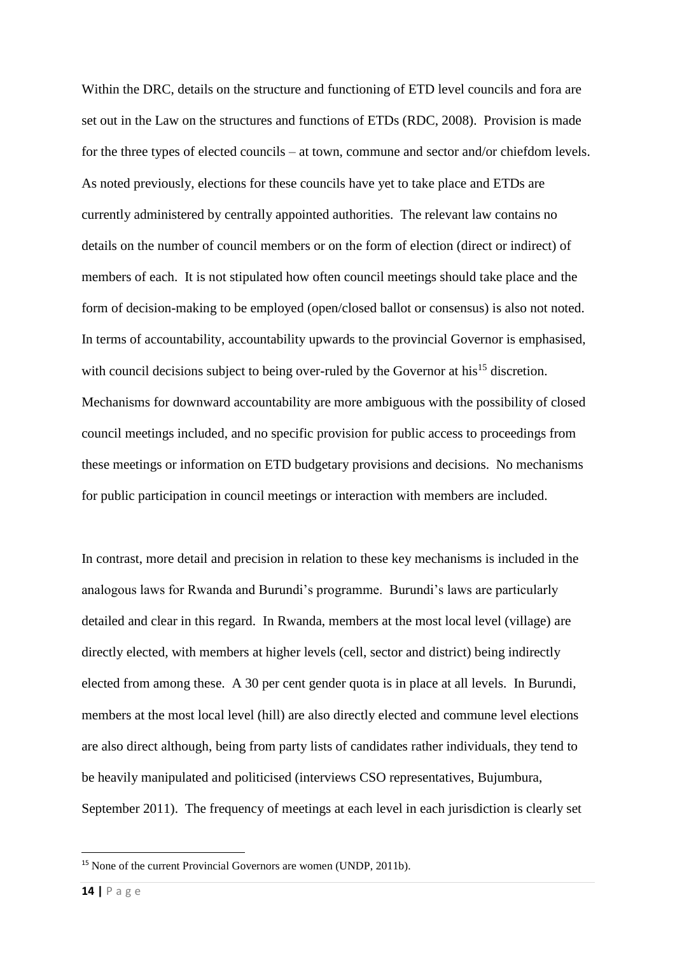Within the DRC, details on the structure and functioning of ETD level councils and fora are set out in the Law on the structures and functions of ETDs (RDC, 2008). Provision is made for the three types of elected councils – at town, commune and sector and/or chiefdom levels. As noted previously, elections for these councils have yet to take place and ETDs are currently administered by centrally appointed authorities. The relevant law contains no details on the number of council members or on the form of election (direct or indirect) of members of each. It is not stipulated how often council meetings should take place and the form of decision-making to be employed (open/closed ballot or consensus) is also not noted. In terms of accountability, accountability upwards to the provincial Governor is emphasised, with council decisions subject to being over-ruled by the Governor at his<sup>15</sup> discretion. Mechanisms for downward accountability are more ambiguous with the possibility of closed council meetings included, and no specific provision for public access to proceedings from these meetings or information on ETD budgetary provisions and decisions. No mechanisms for public participation in council meetings or interaction with members are included.

In contrast, more detail and precision in relation to these key mechanisms is included in the analogous laws for Rwanda and Burundi's programme. Burundi's laws are particularly detailed and clear in this regard. In Rwanda, members at the most local level (village) are directly elected, with members at higher levels (cell, sector and district) being indirectly elected from among these. A 30 per cent gender quota is in place at all levels. In Burundi, members at the most local level (hill) are also directly elected and commune level elections are also direct although, being from party lists of candidates rather individuals, they tend to be heavily manipulated and politicised (interviews CSO representatives, Bujumbura, September 2011). The frequency of meetings at each level in each jurisdiction is clearly set

<sup>15</sup> None of the current Provincial Governors are women (UNDP, 2011b).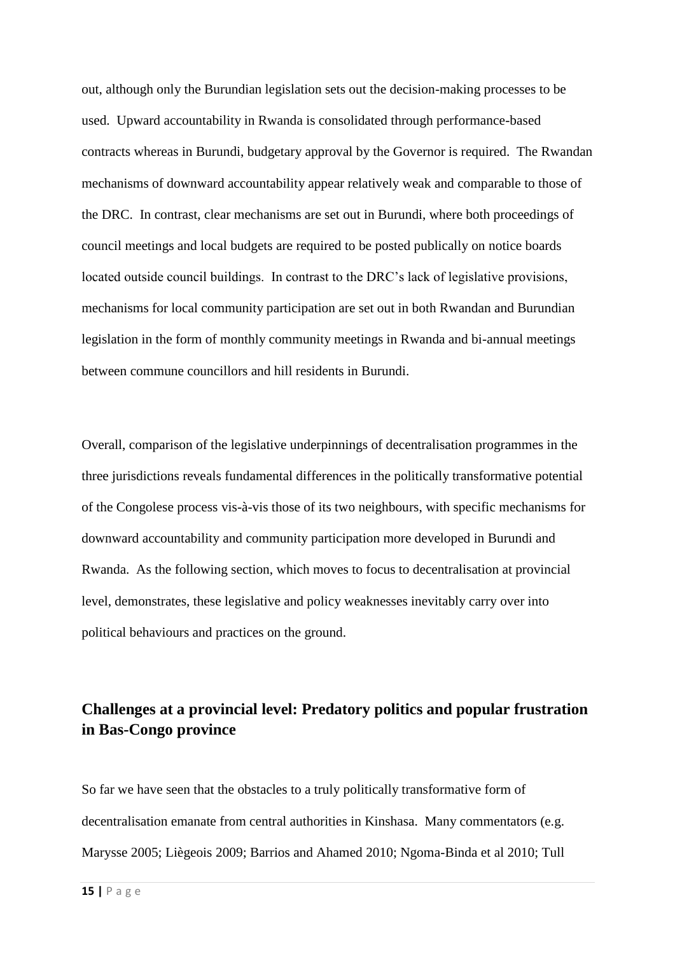out, although only the Burundian legislation sets out the decision-making processes to be used. Upward accountability in Rwanda is consolidated through performance-based contracts whereas in Burundi, budgetary approval by the Governor is required. The Rwandan mechanisms of downward accountability appear relatively weak and comparable to those of the DRC. In contrast, clear mechanisms are set out in Burundi, where both proceedings of council meetings and local budgets are required to be posted publically on notice boards located outside council buildings. In contrast to the DRC's lack of legislative provisions, mechanisms for local community participation are set out in both Rwandan and Burundian legislation in the form of monthly community meetings in Rwanda and bi-annual meetings between commune councillors and hill residents in Burundi.

Overall, comparison of the legislative underpinnings of decentralisation programmes in the three jurisdictions reveals fundamental differences in the politically transformative potential of the Congolese process vis-à-vis those of its two neighbours, with specific mechanisms for downward accountability and community participation more developed in Burundi and Rwanda. As the following section, which moves to focus to decentralisation at provincial level, demonstrates, these legislative and policy weaknesses inevitably carry over into political behaviours and practices on the ground.

## **Challenges at a provincial level: Predatory politics and popular frustration in Bas-Congo province**

So far we have seen that the obstacles to a truly politically transformative form of decentralisation emanate from central authorities in Kinshasa. Many commentators (e.g. Marysse 2005; Liègeois 2009; Barrios and Ahamed 2010; Ngoma-Binda et al 2010; Tull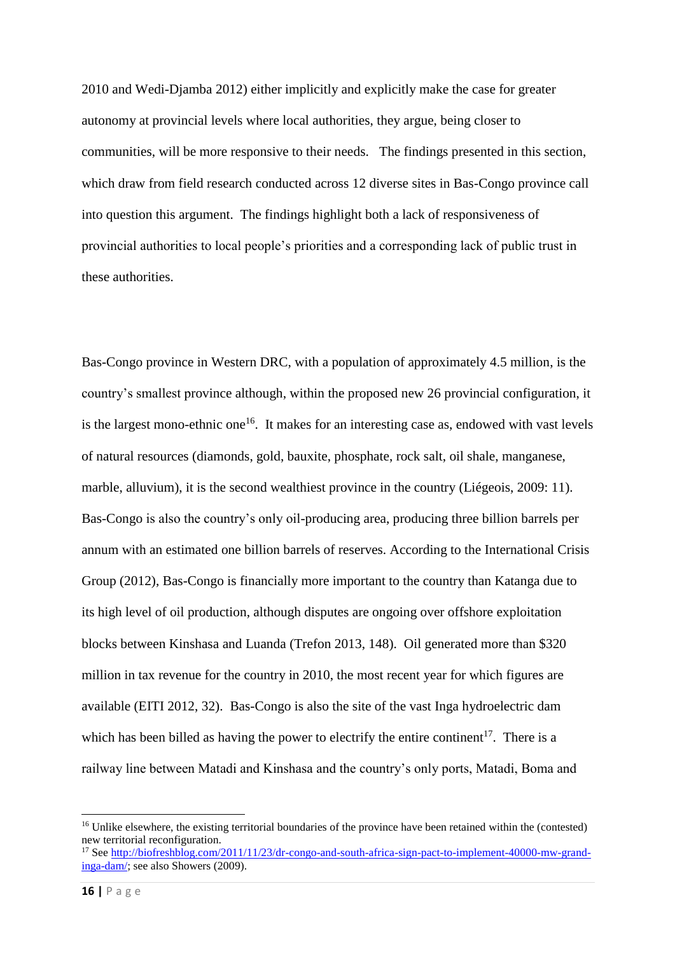2010 and Wedi-Djamba 2012) either implicitly and explicitly make the case for greater autonomy at provincial levels where local authorities, they argue, being closer to communities, will be more responsive to their needs. The findings presented in this section, which draw from field research conducted across 12 diverse sites in Bas-Congo province call into question this argument. The findings highlight both a lack of responsiveness of provincial authorities to local people's priorities and a corresponding lack of public trust in these authorities.

Bas-Congo province in Western DRC, with a population of approximately 4.5 million, is the country's smallest province although, within the proposed new 26 provincial configuration, it is the largest mono-ethnic one<sup>16</sup>. It makes for an interesting case as, endowed with vast levels of natural resources (diamonds, gold, bauxite, phosphate, rock salt, oil shale, manganese, marble, alluvium), it is the second wealthiest province in the country (Liégeois, 2009: 11). Bas-Congo is also the country's only oil-producing area, producing three billion barrels per annum with an estimated one billion barrels of reserves. According to the International Crisis Group (2012), Bas-Congo is financially more important to the country than Katanga due to its high level of oil production, although disputes are ongoing over offshore exploitation blocks between Kinshasa and Luanda (Trefon 2013, 148). Oil generated more than \$320 million in tax revenue for the country in 2010, the most recent year for which figures are available (EITI 2012, 32). Bas-Congo is also the site of the vast Inga hydroelectric dam which has been billed as having the power to electrify the entire continent<sup>17</sup>. There is a railway line between Matadi and Kinshasa and the country's only ports, Matadi, Boma and

<sup>&</sup>lt;sup>16</sup> Unlike elsewhere, the existing territorial boundaries of the province have been retained within the (contested) new territorial reconfiguration.

<sup>17</sup> See [http://biofreshblog.com/2011/11/23/dr-congo-and-south-africa-sign-pact-to-implement-40000-mw-grand](http://biofreshblog.com/2011/11/23/dr-congo-and-south-africa-sign-pact-to-implement-40000-mw-grand-inga-dam/)[inga-dam/;](http://biofreshblog.com/2011/11/23/dr-congo-and-south-africa-sign-pact-to-implement-40000-mw-grand-inga-dam/) see also Showers (2009).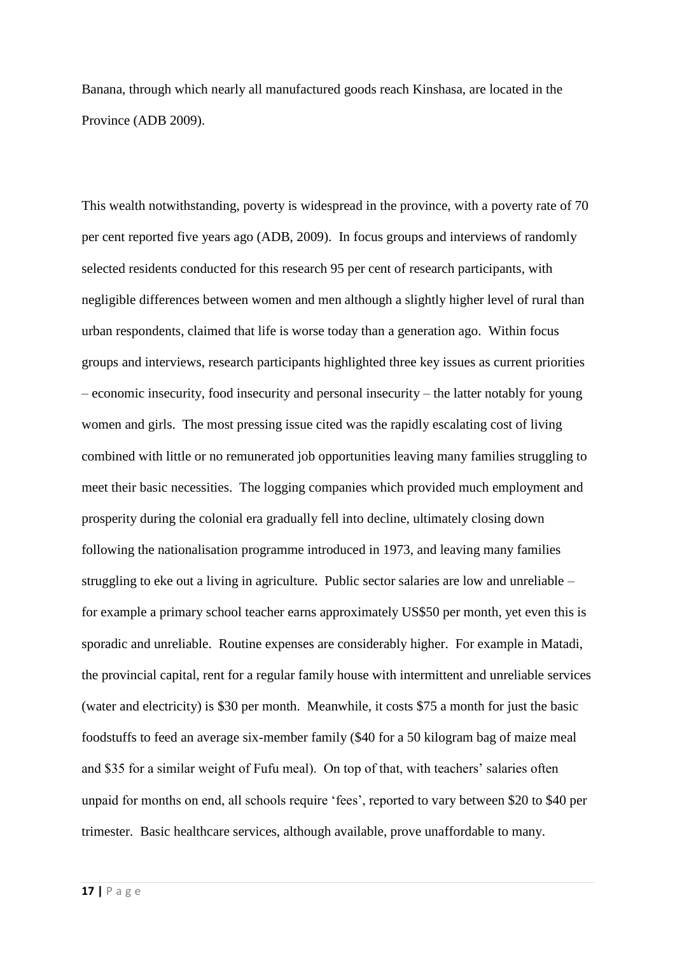Banana, through which nearly all manufactured goods reach Kinshasa, are located in the Province (ADB 2009).

This wealth notwithstanding, poverty is widespread in the province, with a poverty rate of 70 per cent reported five years ago (ADB, 2009). In focus groups and interviews of randomly selected residents conducted for this research 95 per cent of research participants, with negligible differences between women and men although a slightly higher level of rural than urban respondents, claimed that life is worse today than a generation ago. Within focus groups and interviews, research participants highlighted three key issues as current priorities – economic insecurity, food insecurity and personal insecurity – the latter notably for young women and girls. The most pressing issue cited was the rapidly escalating cost of living combined with little or no remunerated job opportunities leaving many families struggling to meet their basic necessities. The logging companies which provided much employment and prosperity during the colonial era gradually fell into decline, ultimately closing down following the nationalisation programme introduced in 1973, and leaving many families struggling to eke out a living in agriculture. Public sector salaries are low and unreliable – for example a primary school teacher earns approximately US\$50 per month, yet even this is sporadic and unreliable. Routine expenses are considerably higher. For example in Matadi, the provincial capital, rent for a regular family house with intermittent and unreliable services (water and electricity) is \$30 per month. Meanwhile, it costs \$75 a month for just the basic foodstuffs to feed an average six-member family (\$40 for a 50 kilogram bag of maize meal and \$35 for a similar weight of Fufu meal). On top of that, with teachers' salaries often unpaid for months on end, all schools require 'fees', reported to vary between \$20 to \$40 per trimester. Basic healthcare services, although available, prove unaffordable to many.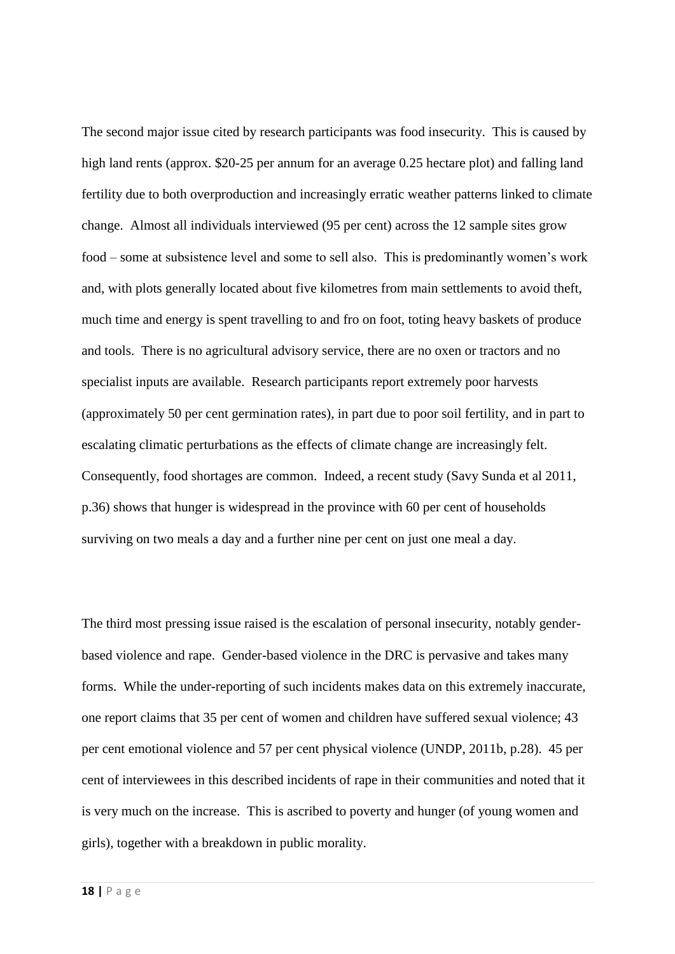The second major issue cited by research participants was food insecurity. This is caused by high land rents (approx. \$20-25 per annum for an average 0.25 hectare plot) and falling land fertility due to both overproduction and increasingly erratic weather patterns linked to climate change. Almost all individuals interviewed (95 per cent) across the 12 sample sites grow food – some at subsistence level and some to sell also. This is predominantly women's work and, with plots generally located about five kilometres from main settlements to avoid theft, much time and energy is spent travelling to and fro on foot, toting heavy baskets of produce and tools. There is no agricultural advisory service, there are no oxen or tractors and no specialist inputs are available. Research participants report extremely poor harvests (approximately 50 per cent germination rates), in part due to poor soil fertility, and in part to escalating climatic perturbations as the effects of climate change are increasingly felt. Consequently, food shortages are common. Indeed, a recent study (Savy Sunda et al 2011, p.36) shows that hunger is widespread in the province with 60 per cent of households surviving on two meals a day and a further nine per cent on just one meal a day.

The third most pressing issue raised is the escalation of personal insecurity, notably genderbased violence and rape. Gender-based violence in the DRC is pervasive and takes many forms. While the under-reporting of such incidents makes data on this extremely inaccurate, one report claims that 35 per cent of women and children have suffered sexual violence; 43 per cent emotional violence and 57 per cent physical violence (UNDP, 2011b, p.28). 45 per cent of interviewees in this described incidents of rape in their communities and noted that it is very much on the increase. This is ascribed to poverty and hunger (of young women and girls), together with a breakdown in public morality.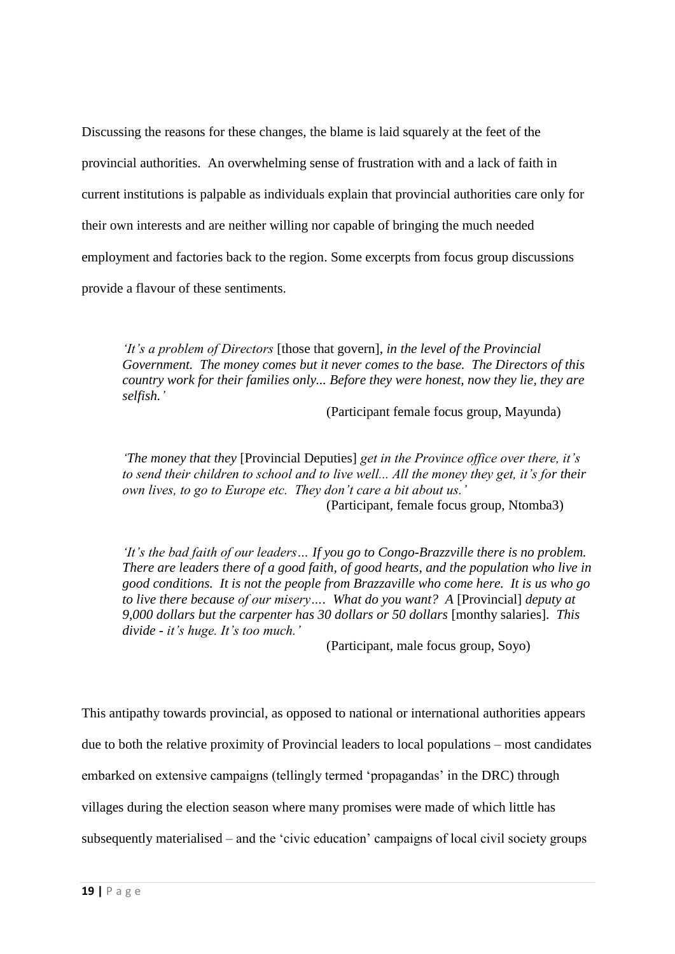Discussing the reasons for these changes, the blame is laid squarely at the feet of the provincial authorities. An overwhelming sense of frustration with and a lack of faith in current institutions is palpable as individuals explain that provincial authorities care only for their own interests and are neither willing nor capable of bringing the much needed employment and factories back to the region. Some excerpts from focus group discussions provide a flavour of these sentiments.

*'It's a problem of Directors* [those that govern]*, in the level of the Provincial Government. The money comes but it never comes to the base. The Directors of this country work for their families only... Before they were honest, now they lie, they are selfish.'*

(Participant female focus group, Mayunda)

*'The money that they* [Provincial Deputies] *get in the Province office over there, it's to send their children to school and to live well... All the money they get, it's for their own lives, to go to Europe etc. They don't care a bit about us.'*  (Participant, female focus group, Ntomba3)

*'It's the bad faith of our leaders… If you go to Congo-Brazzville there is no problem. There are leaders there of a good faith, of good hearts, and the population who live in good conditions. It is not the people from Brazzaville who come here. It is us who go to live there because of our misery…. What do you want? A* [Provincial] *deputy at 9,000 dollars but the carpenter has 30 dollars or 50 dollars* [monthy salaries]*. This divide - it's huge. It's too much.'*

(Participant, male focus group, Soyo)

This antipathy towards provincial, as opposed to national or international authorities appears due to both the relative proximity of Provincial leaders to local populations – most candidates embarked on extensive campaigns (tellingly termed 'propagandas' in the DRC) through villages during the election season where many promises were made of which little has subsequently materialised – and the 'civic education' campaigns of local civil society groups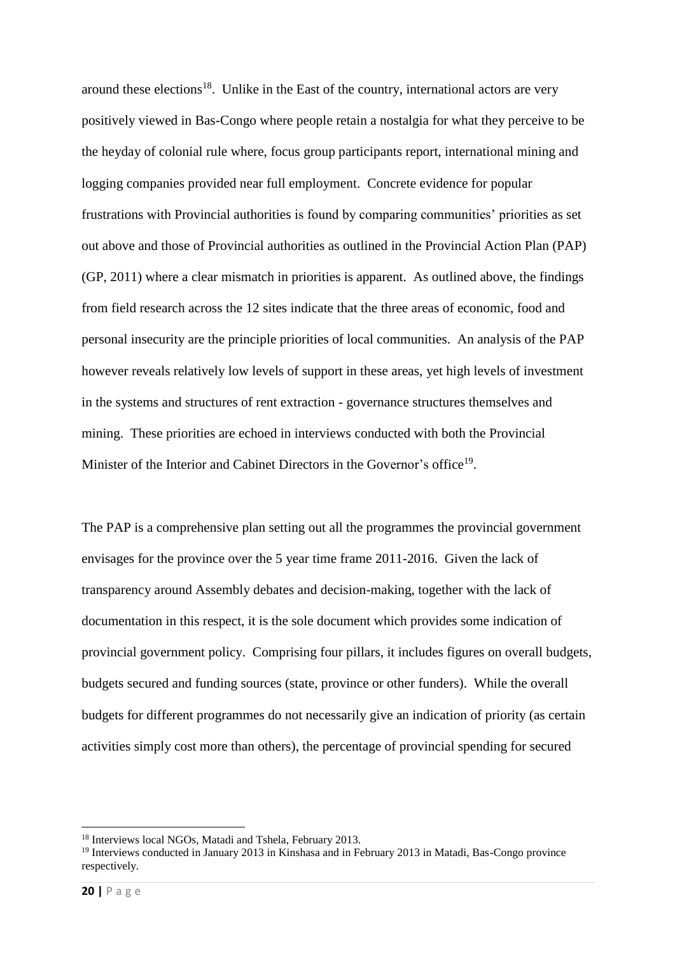around these elections<sup>18</sup>. Unlike in the East of the country, international actors are very positively viewed in Bas-Congo where people retain a nostalgia for what they perceive to be the heyday of colonial rule where, focus group participants report, international mining and logging companies provided near full employment. Concrete evidence for popular frustrations with Provincial authorities is found by comparing communities' priorities as set out above and those of Provincial authorities as outlined in the Provincial Action Plan (PAP) (GP, 2011) where a clear mismatch in priorities is apparent. As outlined above, the findings from field research across the 12 sites indicate that the three areas of economic, food and personal insecurity are the principle priorities of local communities. An analysis of the PAP however reveals relatively low levels of support in these areas, yet high levels of investment in the systems and structures of rent extraction - governance structures themselves and mining. These priorities are echoed in interviews conducted with both the Provincial Minister of the Interior and Cabinet Directors in the Governor's office<sup>19</sup>.

The PAP is a comprehensive plan setting out all the programmes the provincial government envisages for the province over the 5 year time frame 2011-2016. Given the lack of transparency around Assembly debates and decision-making, together with the lack of documentation in this respect, it is the sole document which provides some indication of provincial government policy. Comprising four pillars, it includes figures on overall budgets, budgets secured and funding sources (state, province or other funders). While the overall budgets for different programmes do not necessarily give an indication of priority (as certain activities simply cost more than others), the percentage of provincial spending for secured

<sup>1</sup> <sup>18</sup> Interviews local NGOs, Matadi and Tshela, February 2013.

<sup>19</sup> Interviews conducted in January 2013 in Kinshasa and in February 2013 in Matadi, Bas-Congo province respectively.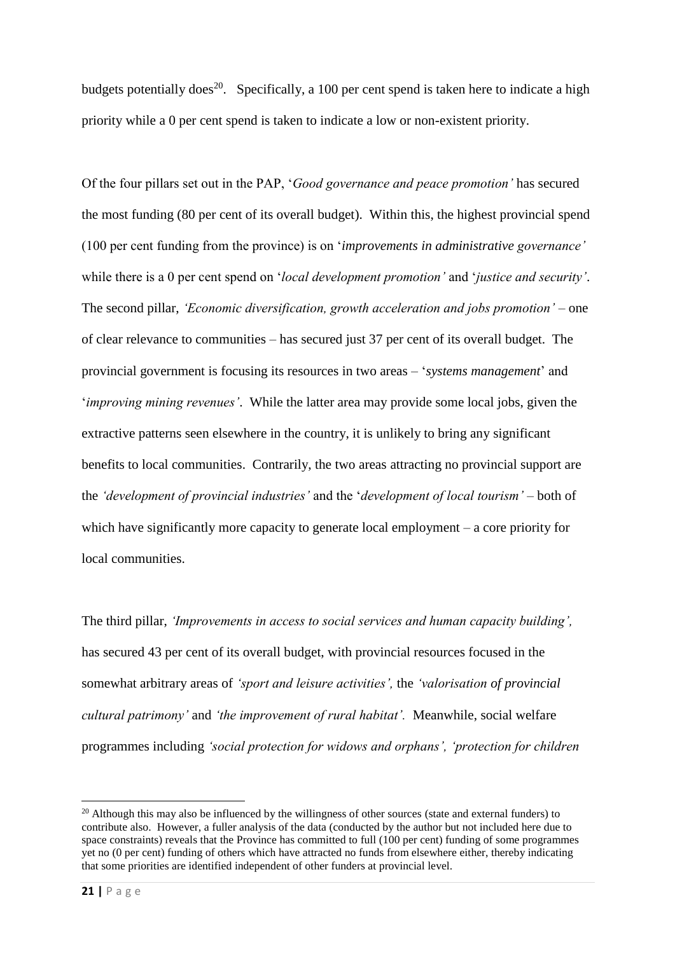budgets potentially does<sup>20</sup>. Specifically, a 100 per cent spend is taken here to indicate a high priority while a 0 per cent spend is taken to indicate a low or non-existent priority.

Of the four pillars set out in the PAP, '*Good governance and peace promotion'* has secured the most funding (80 per cent of its overall budget). Within this, the highest provincial spend (100 per cent funding from the province) is on '*improvements in administrative governance'* while there is a 0 per cent spend on '*local development promotion'* and '*justice and security'*. The second pillar, *'Economic diversification, growth acceleration and jobs promotion' –* one of clear relevance to communities – has secured just 37 per cent of its overall budget. The provincial government is focusing its resources in two areas – '*systems management*' and '*improving mining revenues'*. While the latter area may provide some local jobs, given the extractive patterns seen elsewhere in the country, it is unlikely to bring any significant benefits to local communities. Contrarily, the two areas attracting no provincial support are the *'development of provincial industries'* and the '*development of local tourism'* – both of which have significantly more capacity to generate local employment – a core priority for local communities.

The third pillar, *'Improvements in access to social services and human capacity building',*  has secured 43 per cent of its overall budget, with provincial resources focused in the somewhat arbitrary areas of *'sport and leisure activities',* the *'valorisation of provincial cultural patrimony'* and *'the improvement of rural habitat'.* Meanwhile, social welfare programmes including *'social protection for widows and orphans', 'protection for children* 

 $^{20}$  Although this may also be influenced by the willingness of other sources (state and external funders) to contribute also. However, a fuller analysis of the data (conducted by the author but not included here due to space constraints) reveals that the Province has committed to full (100 per cent) funding of some programmes yet no (0 per cent) funding of others which have attracted no funds from elsewhere either, thereby indicating that some priorities are identified independent of other funders at provincial level.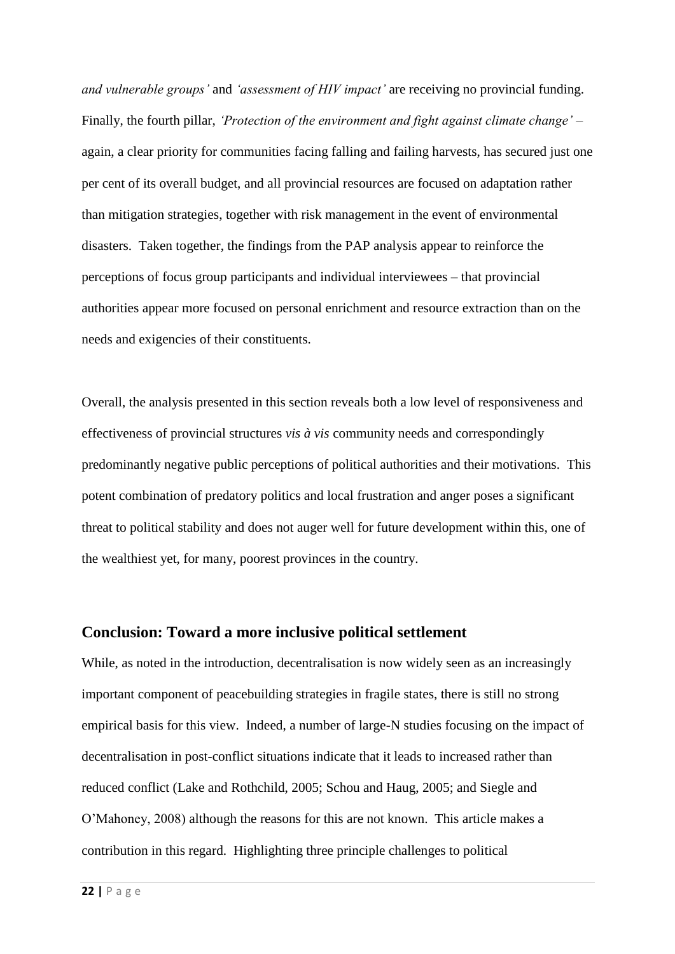*and vulnerable groups'* and *'assessment of HIV impact'* are receiving no provincial funding. Finally, the fourth pillar, *'Protection of the environment and fight against climate change' –* again, a clear priority for communities facing falling and failing harvests, has secured just one per cent of its overall budget, and all provincial resources are focused on adaptation rather than mitigation strategies, together with risk management in the event of environmental disasters. Taken together, the findings from the PAP analysis appear to reinforce the perceptions of focus group participants and individual interviewees – that provincial authorities appear more focused on personal enrichment and resource extraction than on the needs and exigencies of their constituents.

Overall, the analysis presented in this section reveals both a low level of responsiveness and effectiveness of provincial structures *vis à vis* community needs and correspondingly predominantly negative public perceptions of political authorities and their motivations. This potent combination of predatory politics and local frustration and anger poses a significant threat to political stability and does not auger well for future development within this, one of the wealthiest yet, for many, poorest provinces in the country.

### **Conclusion: Toward a more inclusive political settlement**

While, as noted in the introduction, decentralisation is now widely seen as an increasingly important component of peacebuilding strategies in fragile states, there is still no strong empirical basis for this view. Indeed, a number of large-N studies focusing on the impact of decentralisation in post-conflict situations indicate that it leads to increased rather than reduced conflict (Lake and Rothchild, 2005; Schou and Haug, 2005; and Siegle and O'Mahoney, 2008) although the reasons for this are not known. This article makes a contribution in this regard. Highlighting three principle challenges to political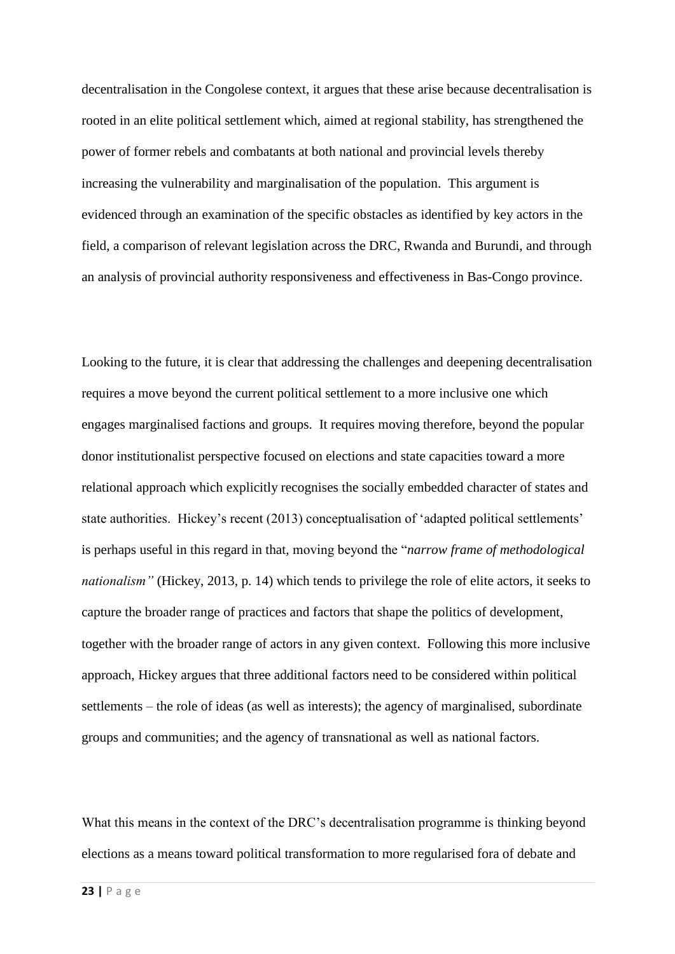decentralisation in the Congolese context, it argues that these arise because decentralisation is rooted in an elite political settlement which, aimed at regional stability, has strengthened the power of former rebels and combatants at both national and provincial levels thereby increasing the vulnerability and marginalisation of the population. This argument is evidenced through an examination of the specific obstacles as identified by key actors in the field, a comparison of relevant legislation across the DRC, Rwanda and Burundi, and through an analysis of provincial authority responsiveness and effectiveness in Bas-Congo province.

Looking to the future, it is clear that addressing the challenges and deepening decentralisation requires a move beyond the current political settlement to a more inclusive one which engages marginalised factions and groups. It requires moving therefore, beyond the popular donor institutionalist perspective focused on elections and state capacities toward a more relational approach which explicitly recognises the socially embedded character of states and state authorities. Hickey's recent (2013) conceptualisation of 'adapted political settlements' is perhaps useful in this regard in that, moving beyond the "*narrow frame of methodological nationalism"* (Hickey, 2013, p. 14) which tends to privilege the role of elite actors, it seeks to capture the broader range of practices and factors that shape the politics of development, together with the broader range of actors in any given context. Following this more inclusive approach, Hickey argues that three additional factors need to be considered within political settlements – the role of ideas (as well as interests); the agency of marginalised, subordinate groups and communities; and the agency of transnational as well as national factors.

What this means in the context of the DRC's decentralisation programme is thinking beyond elections as a means toward political transformation to more regularised fora of debate and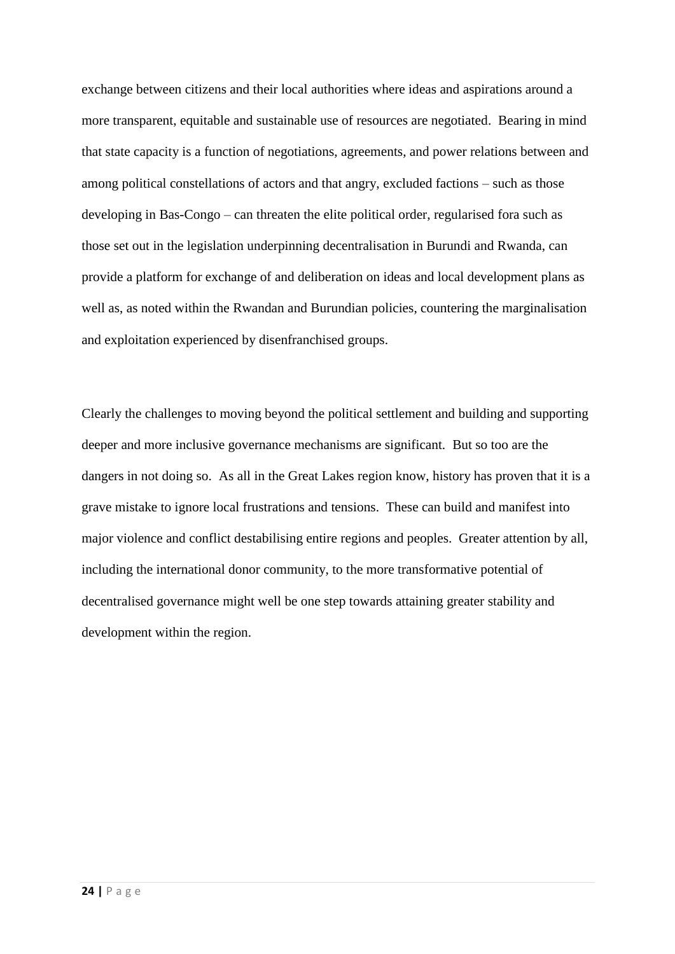exchange between citizens and their local authorities where ideas and aspirations around a more transparent, equitable and sustainable use of resources are negotiated. Bearing in mind that state capacity is a function of negotiations, agreements, and power relations between and among political constellations of actors and that angry, excluded factions – such as those developing in Bas-Congo – can threaten the elite political order, regularised fora such as those set out in the legislation underpinning decentralisation in Burundi and Rwanda, can provide a platform for exchange of and deliberation on ideas and local development plans as well as, as noted within the Rwandan and Burundian policies, countering the marginalisation and exploitation experienced by disenfranchised groups.

Clearly the challenges to moving beyond the political settlement and building and supporting deeper and more inclusive governance mechanisms are significant. But so too are the dangers in not doing so. As all in the Great Lakes region know, history has proven that it is a grave mistake to ignore local frustrations and tensions. These can build and manifest into major violence and conflict destabilising entire regions and peoples. Greater attention by all, including the international donor community, to the more transformative potential of decentralised governance might well be one step towards attaining greater stability and development within the region.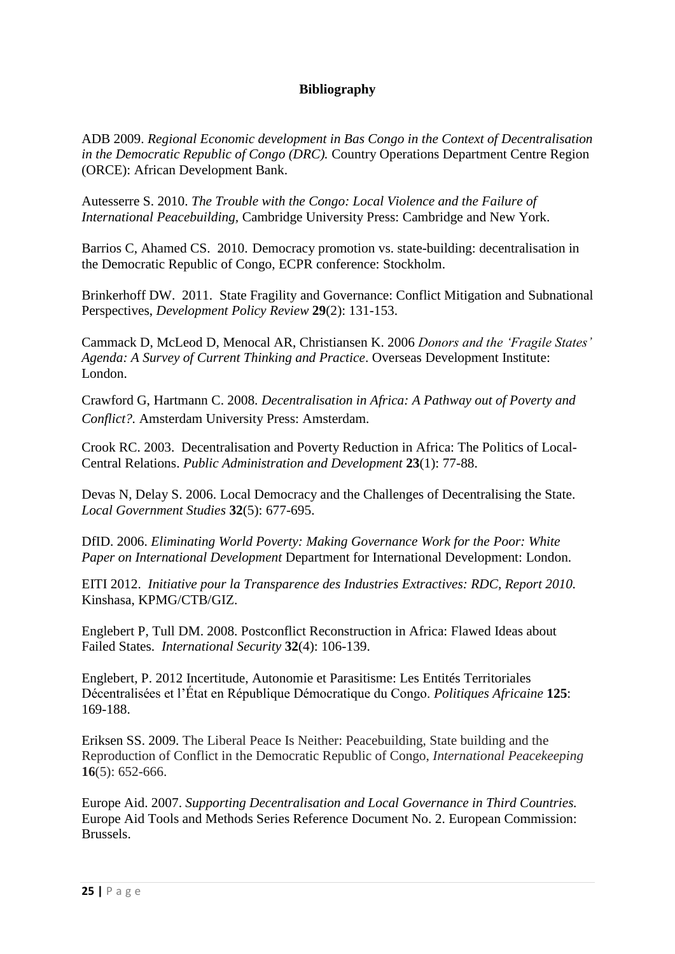## **Bibliography**

ADB 2009. *Regional Economic development in Bas Congo in the Context of Decentralisation in the Democratic Republic of Congo (DRC).* Country Operations Department Centre Region (ORCE): African Development Bank.

Autesserre S. 2010. *The Trouble with the Congo: Local Violence and the Failure of International Peacebuilding,* Cambridge University Press: Cambridge and New York.

Barrios C, Ahamed CS. 2010. Democracy promotion vs. state-building: decentralisation in the Democratic Republic of Congo, ECPR conference: Stockholm.

Brinkerhoff DW. 2011. State Fragility and Governance: Conflict Mitigation and Subnational Perspectives, *Development Policy Review* **29**(2): 131-153.

Cammack D, McLeod D, Menocal AR, Christiansen K. 2006 *Donors and the 'Fragile States' Agenda: A Survey of Current Thinking and Practice*. Overseas Development Institute: London.

Crawford G, Hartmann C. 2008. *Decentralisation in Africa: A Pathway out of Poverty and Conflict?.* Amsterdam University Press: Amsterdam.

Crook RC. 2003. Decentralisation and Poverty Reduction in Africa: The Politics of Local-Central Relations. *Public Administration and Development* **23**(1): 77-88.

Devas N, Delay S. 2006. Local Democracy and the Challenges of Decentralising the State. *Local Government Studies* **32**(5): 677-695.

DfID. 2006. *Eliminating World Poverty: Making Governance Work for the Poor: White Paper on International Development* Department for International Development: London.

EITI 2012. *Initiative pour la Transparence des Industries Extractives: RDC, Report 2010.*  Kinshasa, KPMG/CTB/GIZ.

Englebert P, Tull DM. 2008. Postconflict Reconstruction in Africa: Flawed Ideas about Failed States. *International Security* **32**(4): 106-139.

Englebert, P. 2012 Incertitude, Autonomie et Parasitisme: Les Entités Territoriales Décentralisées et l'État en République Démocratique du Congo. *Politiques Africaine* **125**: 169-188.

Eriksen SS. 2009. The Liberal Peace Is Neither: Peacebuilding, State building and the Reproduction of Conflict in the Democratic Republic of Congo, *International Peacekeeping* **16**(5): 652-666.

Europe Aid. 2007. *Supporting Decentralisation and Local Governance in Third Countries.*  Europe Aid Tools and Methods Series Reference Document No. 2. European Commission: Brussels.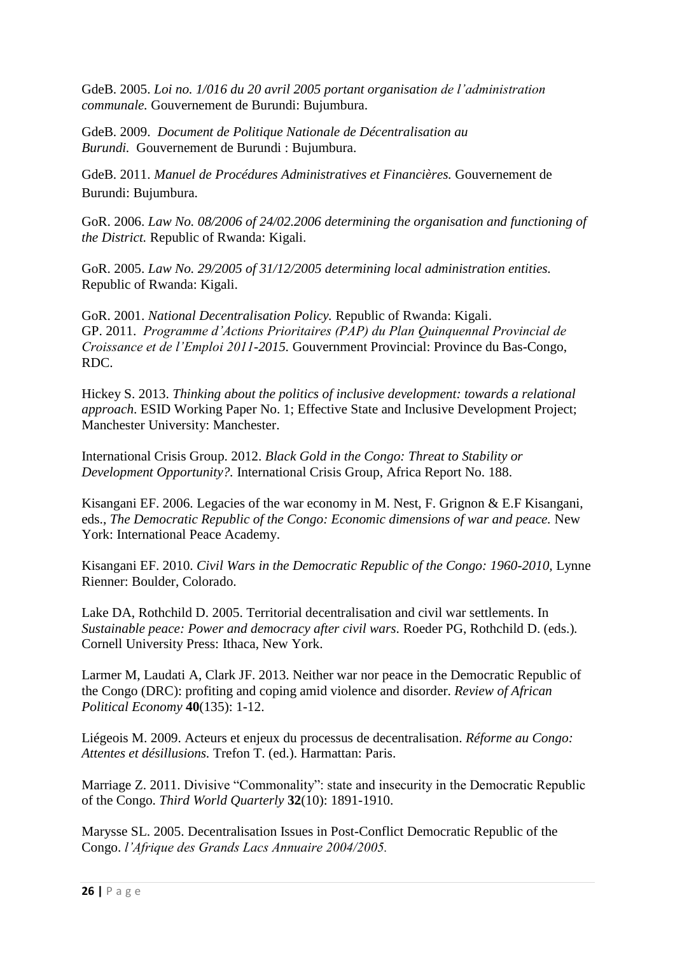GdeB. 2005. *Loi no. 1/016 du 20 avril 2005 portant organisation de l'administration communale.* Gouvernement de Burundi: Bujumbura.

GdeB. 2009. *Document de Politique Nationale de Décentralisation au Burundi.* Gouvernement de Burundi : Bujumbura.

GdeB. 2011. *Manuel de Procédures Administratives et Financières.* Gouvernement de Burundi: Bujumbura.

GoR. 2006. *Law No. 08/2006 of 24/02.2006 determining the organisation and functioning of the District.* Republic of Rwanda: Kigali.

GoR. 2005. *Law No. 29/2005 of 31/12/2005 determining local administration entities.*  Republic of Rwanda: Kigali.

GoR. 2001. *National Decentralisation Policy.* Republic of Rwanda: Kigali. GP. 2011. *Programme d'Actions Prioritaires (PAP) du Plan Quinquennal Provincial de Croissance et de l'Emploi 2011-2015.* Gouvernment Provincial: Province du Bas-Congo, RDC.

Hickey S. 2013. *Thinking about the politics of inclusive development: towards a relational approach*. ESID Working Paper No. 1; Effective State and Inclusive Development Project; Manchester University: Manchester.

International Crisis Group. 2012. *Black Gold in the Congo: Threat to Stability or Development Opportunity?.* International Crisis Group, Africa Report No. 188.

Kisangani EF. 2006. Legacies of the war economy in M. Nest, F. Grignon & E.F Kisangani, eds., *The Democratic Republic of the Congo: Economic dimensions of war and peace.* New York: International Peace Academy.

Kisangani EF. 2010. *Civil Wars in the Democratic Republic of the Congo: 1960-2010,* Lynne Rienner: Boulder, Colorado.

Lake DA, Rothchild D. 2005. Territorial decentralisation and civil war settlements. In *Sustainable peace: Power and democracy after civil wars.* Roeder PG, Rothchild D. (eds.)*.*  Cornell University Press: Ithaca, New York.

Larmer M, Laudati A, Clark JF. 2013. Neither war nor peace in the Democratic Republic of the Congo (DRC): profiting and coping amid violence and disorder. *Review of African Political Economy* **40**(135): 1-12.

Liégeois M. 2009. Acteurs et enjeux du processus de decentralisation. *Réforme au Congo: Attentes et désillusions.* Trefon T. (ed.). Harmattan: Paris.

Marriage Z. 2011. Divisive "Commonality": state and insecurity in the Democratic Republic of the Congo. *Third World Quarterly* **32**(10): 1891-1910.

Marysse SL. 2005. Decentralisation Issues in Post-Conflict Democratic Republic of the Congo. *l'Afrique des Grands Lacs Annuaire 2004/2005.*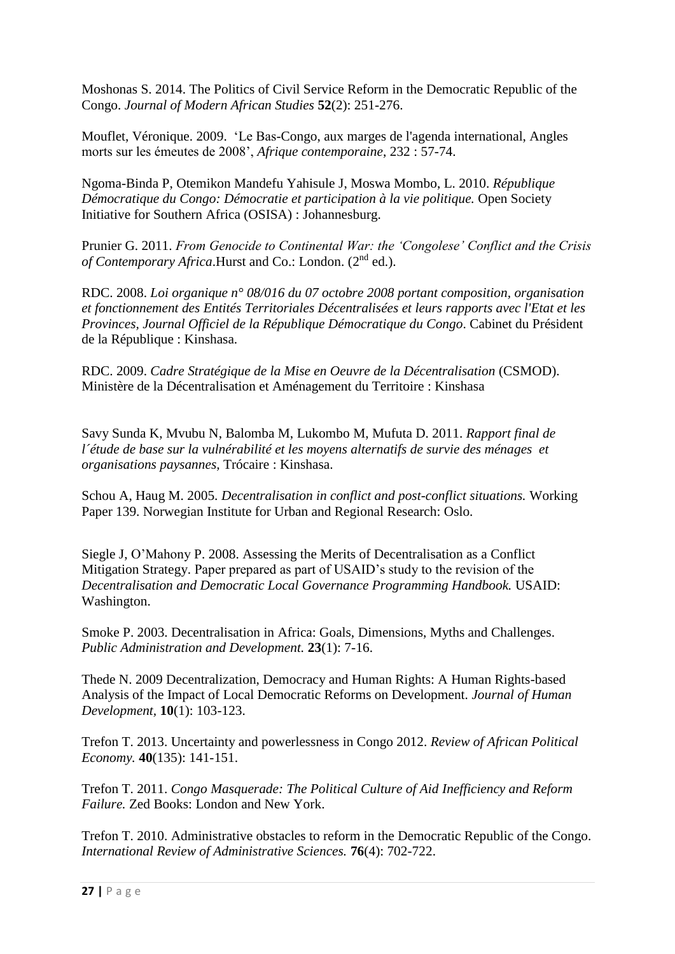Moshonas S. 2014. The Politics of Civil Service Reform in the Democratic Republic of the Congo. *Journal of Modern African Studies* **52**(2): 251-276.

Mouflet, Véronique. 2009. 'Le Bas-Congo, aux marges de l'agenda international, Angles morts sur les émeutes de 2008', *Afrique contemporaine*, 232 : 57-74.

Ngoma-Binda P, Otemikon Mandefu Yahisule J, Moswa Mombo, L. 2010. *République Démocratique du Congo: Démocratie et participation à la vie politique.* Open Society Initiative for Southern Africa (OSISA) : Johannesburg.

Prunier G. 2011. *From Genocide to Continental War: the 'Congolese' Conflict and the Crisis*  of Contemporary Africa.Hurst and Co.: London. (2<sup>nd</sup> ed.).

RDC. 2008. *Loi organique n° 08/016 du 07 octobre 2008 portant composition, organisation et fonctionnement des Entités Territoriales Décentralisées et leurs rapports avec l'Etat et les Provinces, Journal Officiel de la République Démocratique du Congo*. Cabinet du Président de la République : Kinshasa.

RDC. 2009. *Cadre Stratégique de la Mise en Oeuvre de la Décentralisation* (CSMOD). Ministère de la Décentralisation et Aménagement du Territoire : Kinshasa

Savy Sunda K, Mvubu N, Balomba M, Lukombo M, Mufuta D. 2011. *Rapport final de l´étude de base sur la vulnérabilité et les moyens alternatifs de survie des ménages et organisations paysannes,* Trócaire : Kinshasa.

Schou A, Haug M. 2005. *Decentralisation in conflict and post-conflict situations.* Working Paper 139. Norwegian Institute for Urban and Regional Research: Oslo.

Siegle J, O'Mahony P. 2008. Assessing the Merits of Decentralisation as a Conflict Mitigation Strategy. Paper prepared as part of USAID's study to the revision of the *Decentralisation and Democratic Local Governance Programming Handbook.* USAID: Washington.

Smoke P. 2003. Decentralisation in Africa: Goals, Dimensions, Myths and Challenges. *Public Administration and Development.* **23**(1): 7-16.

Thede N. 2009 Decentralization, Democracy and Human Rights: A Human Rights-based Analysis of the Impact of Local Democratic Reforms on Development. *Journal of Human Development,* **10**(1): 103-123.

Trefon T. 2013. Uncertainty and powerlessness in Congo 2012. *Review of African Political Economy.* **40**(135): 141-151.

Trefon T. 2011. *Congo Masquerade: The Political Culture of Aid Inefficiency and Reform Failure.* Zed Books: London and New York.

Trefon T. 2010. Administrative obstacles to reform in the Democratic Republic of the Congo. *International Review of Administrative Sciences.* **76**(4): 702-722.